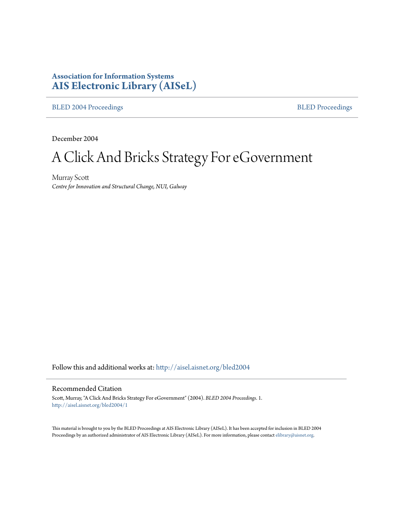# **Association for Information Systems [AIS Electronic Library \(AISeL\)](http://aisel.aisnet.org?utm_source=aisel.aisnet.org%2Fbled2004%2F1&utm_medium=PDF&utm_campaign=PDFCoverPages)**

[BLED 2004 Proceedings](http://aisel.aisnet.org/bled2004?utm_source=aisel.aisnet.org%2Fbled2004%2F1&utm_medium=PDF&utm_campaign=PDFCoverPages) and the [BLED Proceedings](http://aisel.aisnet.org/bled?utm_source=aisel.aisnet.org%2Fbled2004%2F1&utm_medium=PDF&utm_campaign=PDFCoverPages) BLED Proceedings

December 2004

# A Click And Bricks Strategy For eGovernment

Murray Scott *Centre for Innovation and Structural Change, NUI, Galway*

Follow this and additional works at: [http://aisel.aisnet.org/bled2004](http://aisel.aisnet.org/bled2004?utm_source=aisel.aisnet.org%2Fbled2004%2F1&utm_medium=PDF&utm_campaign=PDFCoverPages)

#### Recommended Citation

Scott, Murray, "A Click And Bricks Strategy For eGovernment" (2004). *BLED 2004 Proceedings*. 1. [http://aisel.aisnet.org/bled2004/1](http://aisel.aisnet.org/bled2004/1?utm_source=aisel.aisnet.org%2Fbled2004%2F1&utm_medium=PDF&utm_campaign=PDFCoverPages)

This material is brought to you by the BLED Proceedings at AIS Electronic Library (AISeL). It has been accepted for inclusion in BLED 2004 Proceedings by an authorized administrator of AIS Electronic Library (AISeL). For more information, please contact [elibrary@aisnet.org](mailto:elibrary@aisnet.org%3E).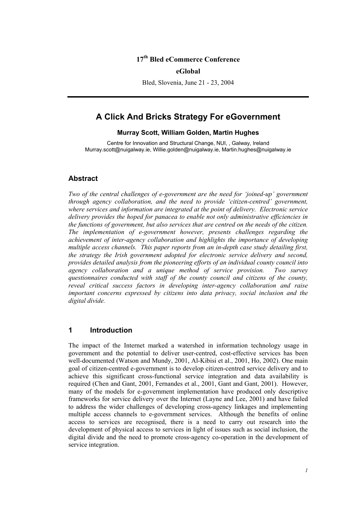## **17th Bled eCommerce Conference**

#### **eGlobal**

Bled, Slovenia, June 21 - 23, 2004

## **A Click And Bricks Strategy For eGovernment**

#### **Murray Scott, William Golden, Martin Hughes**

Centre for Innovation and Structural Change, NUI, , Galway, Ireland Murray.scott@nuigalway.ie, Willie.golden@nuigalway.ie, Martin.hughes@nuigalway.ie

#### **Abstract**

*Two of the central challenges of e-government are the need for 'joined-up' government through agency collaboration, and the need to provide 'citizen-centred' government, where services and information are integrated at the point of delivery. Electronic service delivery provides the hoped for panacea to enable not only administrative efficiencies in the functions of government, but also services that are centred on the needs of the citizen. The implementation of e-government however, presents challenges regarding the achievement of inter-agency collaboration and highlights the importance of developing multiple access channels. This paper reports from an in-depth case study detailing first, the strategy the Irish government adopted for electronic service delivery and second, provides detailed analysis from the pioneering efforts of an individual county council into*  agency collaboration and a unique method of service provision. Two survey *questionnaires conducted with staff of the county council and citizens of the county, reveal critical success factors in developing inter-agency collaboration and raise important concerns expressed by citizens into data privacy, social inclusion and the digital divide.* 

#### **1 Introduction**

The impact of the Internet marked a watershed in information technology usage in government and the potential to deliver user-centred, cost-effective services has been well-documented (Watson and Mundy, 2001, Al-Kibisi et al., 2001, Ho, 2002). One main goal of citizen-centred e-government is to develop citizen-centred service delivery and to achieve this significant cross-functional service integration and data availability is required (Chen and Gant, 2001, Fernandes et al., 2001, Gant and Gant, 2001). However, many of the models for e-government implementation have produced only descriptive frameworks for service delivery over the Internet (Layne and Lee, 2001) and have failed to address the wider challenges of developing cross-agency linkages and implementing multiple access channels to e-government services. Although the benefits of online access to services are recognised, there is a need to carry out research into the development of physical access to services in light of issues such as social inclusion, the digital divide and the need to promote cross-agency co-operation in the development of service integration.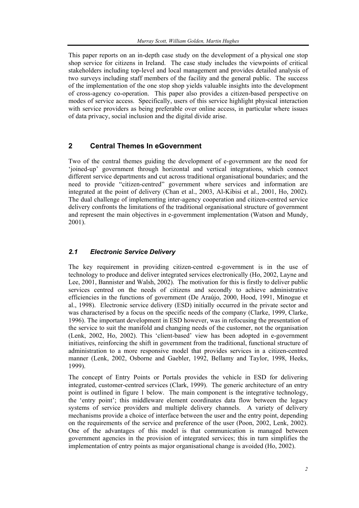This paper reports on an in-depth case study on the development of a physical one stop shop service for citizens in Ireland. The case study includes the viewpoints of critical stakeholders including top-level and local management and provides detailed analysis of two surveys including staff members of the facility and the general public. The success of the implementation of the one stop shop yields valuable insights into the development of cross-agency co-operation. This paper also provides a citizen-based perspective on modes of service access. Specifically, users of this service highlight physical interaction with service providers as being preferable over online access, in particular where issues of data privacy, social inclusion and the digital divide arise.

#### **2 Central Themes In eGovernment**

Two of the central themes guiding the development of e-government are the need for 'joined-up' government through horizontal and vertical integrations, which connect different service departments and cut across traditional organisational boundaries; and the need to provide "citizen-centred" government where services and information are integrated at the point of delivery (Chan et al., 2003, Al-Kibisi et al., 2001, Ho, 2002). The dual challenge of implementing inter-agency cooperation and citizen-centred service delivery confronts the limitations of the traditional organisational structure of government and represent the main objectives in e-government implementation (Watson and Mundy, 2001).

#### *2.1 Electronic Service Delivery*

The key requirement in providing citizen-centred e-government is in the use of technology to produce and deliver integrated services electronically (Ho, 2002, Layne and Lee, 2001, Bannister and Walsh, 2002). The motivation for this is firstly to deliver public services centred on the needs of citizens and secondly to achieve administrative efficiencies in the functions of government (De Araújo, 2000, Hood, 1991, Minogue et al., 1998). Electronic service delivery (ESD) initially occurred in the private sector and was characterised by a focus on the specific needs of the company (Clarke, 1999, Clarke, 1996). The important development in ESD however, was in refocusing the presentation of the service to suit the manifold and changing needs of the customer, not the organisation (Lenk, 2002, Ho, 2002). This 'client-based' view has been adopted in e-government initiatives, reinforcing the shift in government from the traditional, functional structure of administration to a more responsive model that provides services in a citizen-centred manner (Lenk, 2002, Osborne and Gaebler, 1992, Bellamy and Taylor, 1998, Heeks, 1999).

The concept of Entry Points or Portals provides the vehicle in ESD for delivering integrated, customer-centred services (Clark, 1999). The generic architecture of an entry point is outlined in figure 1 below. The main component is the integrative technology, the 'entry point'; this middleware element coordinates data flow between the legacy systems of service providers and multiple delivery channels. A variety of delivery mechanisms provide a choice of interface between the user and the entry point, depending on the requirements of the service and preference of the user (Poon, 2002, Lenk, 2002). One of the advantages of this model is that communication is managed between government agencies in the provision of integrated services; this in turn simplifies the implementation of entry points as major organisational change is avoided (Ho, 2002).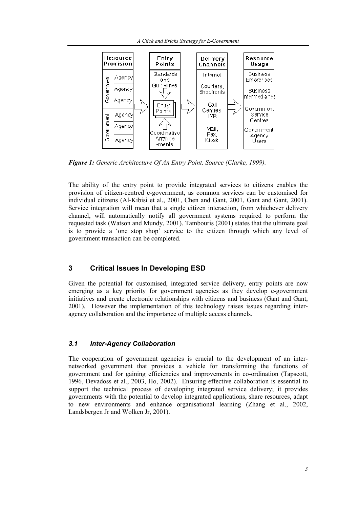

*Figure 1: Generic Architecture Of An Entry Point. Source (Clarke, 1999).* 

The ability of the entry point to provide integrated services to citizens enables the provision of citizen-centred e-government, as common services can be customised for individual citizens (Al-Kibisi et al., 2001, Chen and Gant, 2001, Gant and Gant, 2001). Service integration will mean that a single citizen interaction, from whichever delivery channel, will automatically notify all government systems required to perform the requested task (Watson and Mundy, 2001). Tambouris (2001) states that the ultimate goal is to provide a 'one stop shop' service to the citizen through which any level of government transaction can be completed.

#### **3 Critical Issues In Developing ESD**

Given the potential for customised, integrated service delivery, entry points are now emerging as a key priority for government agencies as they develop e-government initiatives and create electronic relationships with citizens and business (Gant and Gant, 2001). However the implementation of this technology raises issues regarding interagency collaboration and the importance of multiple access channels.

#### *3.1 Inter-Agency Collaboration*

The cooperation of government agencies is crucial to the development of an internetworked government that provides a vehicle for transforming the functions of government and for gaining efficiencies and improvements in co-ordination (Tapscott, 1996, Devadoss et al., 2003, Ho, 2002). Ensuring effective collaboration is essential to support the technical process of developing integrated service delivery; it provides governments with the potential to develop integrated applications, share resources, adapt to new environments and enhance organisational learning (Zhang et al., 2002, Landsbergen Jr and Wolken Jr, 2001).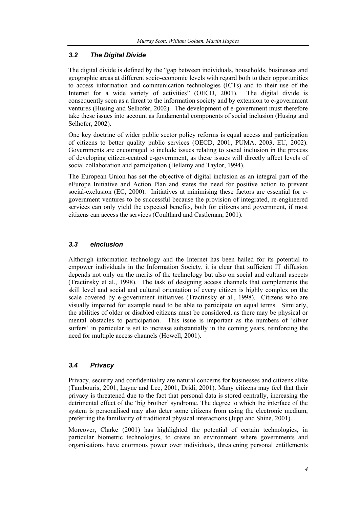## *3.2 The Digital Divide*

The digital divide is defined by the "gap between individuals, households, businesses and geographic areas at different socio-economic levels with regard both to their opportunities to access information and communication technologies (ICTs) and to their use of the Internet for a wide variety of activities" (OECD, 2001). The digital divide is consequently seen as a threat to the information society and by extension to e-government ventures (Husing and Selhofer, 2002). The development of e-government must therefore take these issues into account as fundamental components of social inclusion (Husing and Selhofer, 2002).

One key doctrine of wider public sector policy reforms is equal access and participation of citizens to better quality public services (OECD, 2001, PUMA, 2003, EU, 2002). Governments are encouraged to include issues relating to social inclusion in the process of developing citizen-centred e-government, as these issues will directly affect levels of social collaboration and participation (Bellamy and Taylor, 1994).

The European Union has set the objective of digital inclusion as an integral part of the eEurope Initiative and Action Plan and states the need for positive action to prevent social-exclusion (EC, 2000). Initiatives at minimising these factors are essential for egovernment ventures to be successful because the provision of integrated, re-engineered services can only yield the expected benefits, both for citizens and government, if most citizens can access the services (Coulthard and Castleman, 2001).

## *3.3 eInclusion*

Although information technology and the Internet has been hailed for its potential to empower individuals in the Information Society, it is clear that sufficient IT diffusion depends not only on the merits of the technology but also on social and cultural aspects (Tractinsky et al., 1998). The task of designing access channels that complements the skill level and social and cultural orientation of every citizen is highly complex on the scale covered by e-government initiatives (Tractinsky et al., 1998). Citizens who are visually impaired for example need to be able to participate on equal terms. Similarly, the abilities of older or disabled citizens must be considered, as there may be physical or mental obstacles to participation. This issue is important as the numbers of 'silver surfers' in particular is set to increase substantially in the coming years, reinforcing the need for multiple access channels (Howell, 2001).

#### *3.4 Privacy*

Privacy, security and confidentiality are natural concerns for businesses and citizens alike (Tambouris, 2001, Layne and Lee, 2001, Dridi, 2001). Many citizens may feel that their privacy is threatened due to the fact that personal data is stored centrally, increasing the detrimental effect of the 'big brother' syndrome. The degree to which the interface of the system is personalised may also deter some citizens from using the electronic medium, preferring the familiarity of traditional physical interactions (Jupp and Shine, 2001).

Moreover, Clarke (2001) has highlighted the potential of certain technologies, in particular biometric technologies, to create an environment where governments and organisations have enormous power over individuals, threatening personal entitlements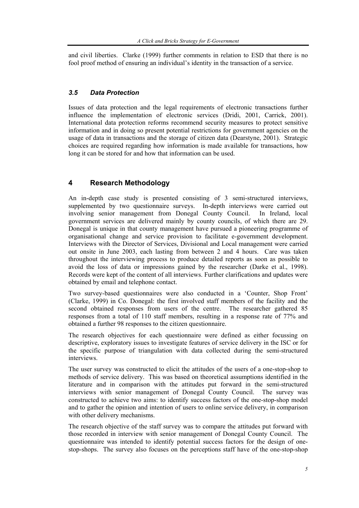and civil liberties. Clarke (1999) further comments in relation to ESD that there is no fool proof method of ensuring an individual's identity in the transaction of a service.

#### *3.5 Data Protection*

Issues of data protection and the legal requirements of electronic transactions further influence the implementation of electronic services (Dridi, 2001, Carrick, 2001). International data protection reforms recommend security measures to protect sensitive information and in doing so present potential restrictions for government agencies on the usage of data in transactions and the storage of citizen data (Dearstyne, 2001). Strategic choices are required regarding how information is made available for transactions, how long it can be stored for and how that information can be used.

## **4 Research Methodology**

An in-depth case study is presented consisting of 3 semi-structured interviews, supplemented by two questionnaire surveys. In-depth interviews were carried out involving senior management from Donegal County Council. In Ireland, local government services are delivered mainly by county councils, of which there are 29. Donegal is unique in that county management have pursued a pioneering programme of organisational change and service provision to facilitate e-government development. Interviews with the Director of Services, Divisional and Local management were carried out onsite in June 2003, each lasting from between 2 and 4 hours. Care was taken throughout the interviewing process to produce detailed reports as soon as possible to avoid the loss of data or impressions gained by the researcher (Darke et al., 1998). Records were kept of the content of all interviews. Further clarifications and updates were obtained by email and telephone contact.

Two survey-based questionnaires were also conducted in a 'Counter, Shop Front' (Clarke, 1999) in Co. Donegal: the first involved staff members of the facility and the second obtained responses from users of the centre. The researcher gathered 85 responses from a total of 110 staff members, resulting in a response rate of 77% and obtained a further 98 responses to the citizen questionnaire.

The research objectives for each questionnaire were defined as either focussing on descriptive, exploratory issues to investigate features of service delivery in the ISC or for the specific purpose of triangulation with data collected during the semi-structured interviews.

The user survey was constructed to elicit the attitudes of the users of a one-stop-shop to methods of service delivery. This was based on theoretical assumptions identified in the literature and in comparison with the attitudes put forward in the semi-structured interviews with senior management of Donegal County Council. The survey was constructed to achieve two aims: to identify success factors of the one-stop-shop model and to gather the opinion and intention of users to online service delivery, in comparison with other delivery mechanisms.

The research objective of the staff survey was to compare the attitudes put forward with those recorded in interview with senior management of Donegal County Council. The questionnaire was intended to identify potential success factors for the design of onestop-shops. The survey also focuses on the perceptions staff have of the one-stop-shop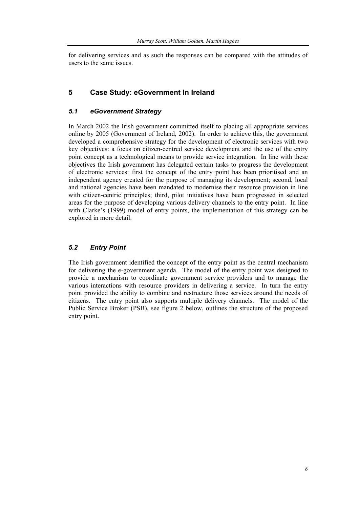for delivering services and as such the responses can be compared with the attitudes of users to the same issues.

## **5 Case Study: eGovernment In Ireland**

#### *5.1 eGovernment Strategy*

In March 2002 the Irish government committed itself to placing all appropriate services online by 2005 (Government of Ireland, 2002). In order to achieve this, the government developed a comprehensive strategy for the development of electronic services with two key objectives: a focus on citizen-centred service development and the use of the entry point concept as a technological means to provide service integration. In line with these objectives the Irish government has delegated certain tasks to progress the development of electronic services: first the concept of the entry point has been prioritised and an independent agency created for the purpose of managing its development; second, local and national agencies have been mandated to modernise their resource provision in line with citizen-centric principles; third, pilot initiatives have been progressed in selected areas for the purpose of developing various delivery channels to the entry point. In line with Clarke's (1999) model of entry points, the implementation of this strategy can be explored in more detail.

#### *5.2 Entry Point*

The Irish government identified the concept of the entry point as the central mechanism for delivering the e-government agenda. The model of the entry point was designed to provide a mechanism to coordinate government service providers and to manage the various interactions with resource providers in delivering a service. In turn the entry point provided the ability to combine and restructure those services around the needs of citizens. The entry point also supports multiple delivery channels. The model of the Public Service Broker (PSB), see figure 2 below, outlines the structure of the proposed entry point.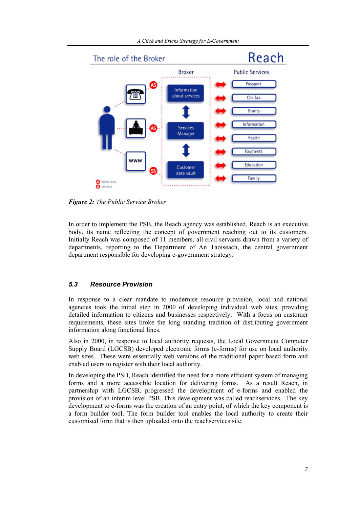

*Figure 2: The Public Service Broker* 

In order to implement the PSB, the Reach agency was established. Reach is an executive body, its name reflecting the concept of government reaching out to its customers. Initially Reach was composed of 11 members, all civil servants drawn from a variety of departments, reporting to the Department of An Taoiseach, the central government department responsible for developing e-government strategy.

#### *5.3 Resource Provision*

In response to a clear mandate to modernise resource provision, local and national agencies took the initial step in 2000 of developing individual web sites, providing detailed information to citizens and businesses respectively. With a focus on customer requirements, these sites broke the long standing tradition of distributing government information along functional lines.

Also in 2000, in response to local authority requests, the Local Government Computer Supply Board (LGCSB) developed electronic forms (e-forms) for use on local authority web sites. These were essentially web versions of the traditional paper based form and enabled users to register with their local authority.

In developing the PSB, Reach identified the need for a more efficient system of managing forms and a more accessible location for delivering forms. As a result Reach, in partnership with LGCSB, progressed the development of e-forms and enabled the provision of an interim level PSB. This development was called reachservices. The key development to e-forms was the creation of an entry point, of which the key component is a form builder tool. The form builder tool enables the local authority to create their customised form that is then uploaded onto the reachservices site.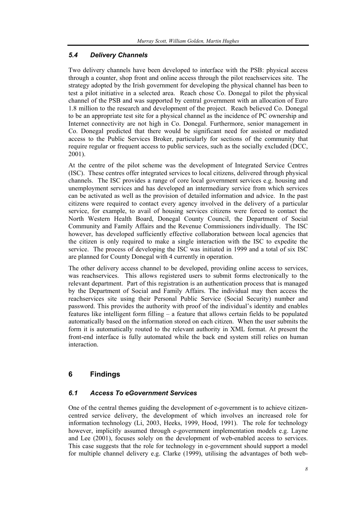## *5.4 Delivery Channels*

Two delivery channels have been developed to interface with the PSB: physical access through a counter, shop front and online access through the pilot reachservices site. The strategy adopted by the Irish government for developing the physical channel has been to test a pilot initiative in a selected area. Reach chose Co. Donegal to pilot the physical channel of the PSB and was supported by central government with an allocation of Euro 1.8 million to the research and development of the project. Reach believed Co. Donegal to be an appropriate test site for a physical channel as the incidence of PC ownership and Internet connectivity are not high in Co. Donegal. Furthermore, senior management in Co. Donegal predicted that there would be significant need for assisted or mediated access to the Public Services Broker, particularly for sections of the community that require regular or frequent access to public services, such as the socially excluded (DCC, 2001).

At the centre of the pilot scheme was the development of Integrated Service Centres (ISC). These centres offer integrated services to local citizens, delivered through physical channels. The ISC provides a range of core local government services e.g. housing and unemployment services and has developed an intermediary service from which services can be activated as well as the provision of detailed information and advice. In the past citizens were required to contact every agency involved in the delivery of a particular service, for example, to avail of housing services citizens were forced to contact the North Western Health Board, Donegal County Council, the Department of Social Community and Family Affairs and the Revenue Commissioners individually. The ISC however, has developed sufficiently effective collaboration between local agencies that the citizen is only required to make a single interaction with the ISC to expedite the service. The process of developing the ISC was initiated in 1999 and a total of six ISC are planned for County Donegal with 4 currently in operation.

The other delivery access channel to be developed, providing online access to services, was reachservices. This allows registered users to submit forms electronically to the relevant department. Part of this registration is an authentication process that is managed by the Department of Social and Family Affairs. The individual may then access the reachservices site using their Personal Public Service (Social Security) number and password. This provides the authority with proof of the individual's identity and enables features like intelligent form filling – a feature that allows certain fields to be populated automatically based on the information stored on each citizen. When the user submits the form it is automatically routed to the relevant authority in XML format. At present the front-end interface is fully automated while the back end system still relies on human interaction.

# **6 Findings**

#### *6.1 Access To eGovernment Services*

One of the central themes guiding the development of e-government is to achieve citizencentred service delivery, the development of which involves an increased role for information technology (Li, 2003, Heeks, 1999, Hood, 1991). The role for technology however, implicitly assumed through e-government implementation models e.g. Layne and Lee (2001), focuses solely on the development of web-enabled access to services. This case suggests that the role for technology in e-government should support a model for multiple channel delivery e.g. Clarke (1999), utilising the advantages of both web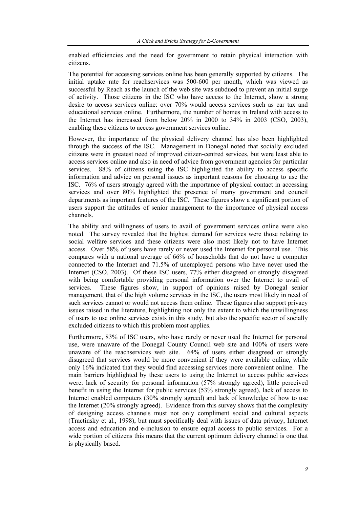enabled efficiencies and the need for government to retain physical interaction with citizens.

The potential for accessing services online has been generally supported by citizens. The initial uptake rate for reachservices was 500-600 per month, which was viewed as successful by Reach as the launch of the web site was subdued to prevent an initial surge of activity. Those citizens in the ISC who have access to the Internet, show a strong desire to access services online: over 70% would access services such as car tax and educational services online. Furthermore, the number of homes in Ireland with access to the Internet has increased from below 20% in 2000 to 34% in 2003 (CSO, 2003), enabling these citizens to access government services online.

However, the importance of the physical delivery channel has also been highlighted through the success of the ISC. Management in Donegal noted that socially excluded citizens were in greatest need of improved citizen-centred services, but were least able to access services online and also in need of advice from government agencies for particular services. 88% of citizens using the ISC highlighted the ability to access specific information and advice on personal issues as important reasons for choosing to use the ISC. 76% of users strongly agreed with the importance of physical contact in accessing services and over 80% highlighted the presence of many government and council departments as important features of the ISC. These figures show a significant portion of users support the attitudes of senior management to the importance of physical access channels.

The ability and willingness of users to avail of government services online were also noted. The survey revealed that the highest demand for services were those relating to social welfare services and these citizens were also most likely not to have Internet access. Over 58% of users have rarely or never used the Internet for personal use. This compares with a national average of 66% of households that do not have a computer connected to the Internet and 71.5% of unemployed persons who have never used the Internet (CSO, 2003). Of these ISC users, 77% either disagreed or strongly disagreed with being comfortable providing personal information over the Internet to avail of services. These figures show, in support of opinions raised by Donegal senior management, that of the high volume services in the ISC, the users most likely in need of such services cannot or would not access them online. These figures also support privacy issues raised in the literature, highlighting not only the extent to which the unwillingness of users to use online services exists in this study, but also the specific sector of socially excluded citizens to which this problem most applies.

Furthermore, 83% of ISC users, who have rarely or never used the Internet for personal use, were unaware of the Donegal County Council web site and 100% of users were unaware of the reachservices web site. 64% of users either disagreed or strongly disagreed that services would be more convenient if they were available online, while only 16% indicated that they would find accessing services more convenient online. The main barriers highlighted by these users to using the Internet to access public services were: lack of security for personal information (57% strongly agreed), little perceived benefit in using the Internet for public services (53% strongly agreed), lack of access to Internet enabled computers (30% strongly agreed) and lack of knowledge of how to use the Internet (20% strongly agreed). Evidence from this survey shows that the complexity of designing access channels must not only compliment social and cultural aspects (Tractinsky et al., 1998), but must specifically deal with issues of data privacy, Internet access and education and e-inclusion to ensure equal access to public services. For a wide portion of citizens this means that the current optimum delivery channel is one that is physically based.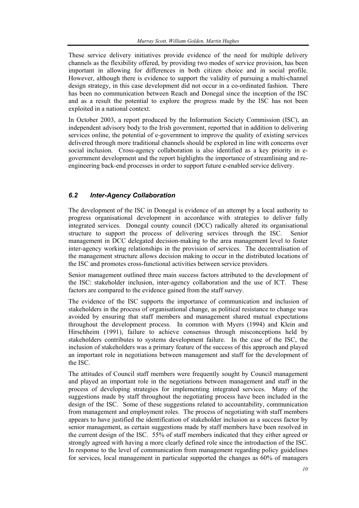These service delivery initiatives provide evidence of the need for multiple delivery channels as the flexibility offered, by providing two modes of service provision, has been important in allowing for differences in both citizen choice and in social profile. However, although there is evidence to support the validity of pursuing a multi-channel design strategy, in this case development did not occur in a co-ordinated fashion. There has been no communication between Reach and Donegal since the inception of the ISC and as a result the potential to explore the progress made by the ISC has not been exploited in a national context.

In October 2003, a report produced by the Information Society Commission (ISC), an independent advisory body to the Irish government, reported that in addition to delivering services online, the potential of e-government to improve the quality of existing services delivered through more traditional channels should be explored in line with concerns over social inclusion. Cross-agency collaboration is also identified as a key priority in egovernment development and the report highlights the importance of streamlining and reengineering back-end processes in order to support future e-enabled service delivery.

## *6.2 Inter-Agency Collaboration*

The development of the ISC in Donegal is evidence of an attempt by a local authority to progress organisational development in accordance with strategies to deliver fully integrated services. Donegal county council (DCC) radically altered its organisational structure to support the process of delivering services through the ISC. Senior management in DCC delegated decision-making to the area management level to foster inter-agency working relationships in the provision of services. The decentralisation of the management structure allows decision making to occur in the distributed locations of the ISC and promotes cross-functional activities between service providers.

Senior management outlined three main success factors attributed to the development of the ISC: stakeholder inclusion, inter-agency collaboration and the use of ICT. These factors are compared to the evidence gained from the staff survey.

The evidence of the ISC supports the importance of communication and inclusion of stakeholders in the process of organisational change, as political resistance to change was avoided by ensuring that staff members and management shared mutual expectations throughout the development process. In common with Myers (1994) and Klein and Hirschheim (1991), failure to achieve consensus through misconceptions held by stakeholders contributes to systems development failure. In the case of the ISC, the inclusion of stakeholders was a primary feature of the success of this approach and played an important role in negotiations between management and staff for the development of the ISC.

The attitudes of Council staff members were frequently sought by Council management and played an important role in the negotiations between management and staff in the process of developing strategies for implementing integrated services. Many of the suggestions made by staff throughout the negotiating process have been included in the design of the ISC. Some of these suggestions related to accountability, communication from management and employment roles. The process of negotiating with staff members appears to have justified the identification of stakeholder inclusion as a success factor by senior management, as certain suggestions made by staff members have been resolved in the current design of the ISC. 55% of staff members indicated that they either agreed or strongly agreed with having a more clearly defined role since the introduction of the ISC. In response to the level of communication from management regarding policy guidelines for services, local management in particular supported the changes as 60% of managers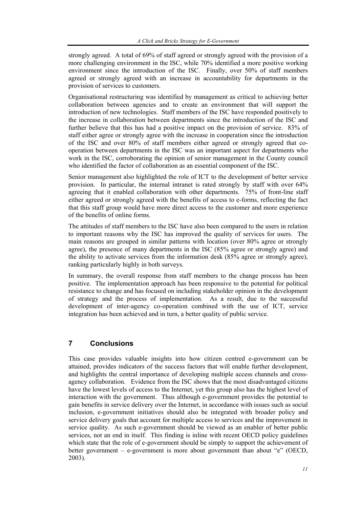strongly agreed. A total of 69% of staff agreed or strongly agreed with the provision of a more challenging environment in the ISC, while 70% identified a more positive working environment since the introduction of the ISC. Finally, over 50% of staff members agreed or strongly agreed with an increase in accountability for departments in the provision of services to customers.

Organisational restructuring was identified by management as critical to achieving better collaboration between agencies and to create an environment that will support the introduction of new technologies. Staff members of the ISC have responded positively to the increase in collaboration between departments since the introduction of the ISC and further believe that this has had a positive impact on the provision of service. 83% of staff either agree or strongly agree with the increase in cooperation since the introduction of the ISC and over 80% of staff members either agreed or strongly agreed that cooperation between departments in the ISC was an important aspect for departments who work in the ISC, corroborating the opinion of senior management in the County council who identified the factor of collaboration as an essential component of the ISC.

Senior management also highlighted the role of ICT to the development of better service provision. In particular, the internal intranet is rated strongly by staff with over 64% agreeing that it enabled collaboration with other departments. 75% of front-line staff either agreed or strongly agreed with the benefits of access to e-forms, reflecting the fact that this staff group would have more direct access to the customer and more experience of the benefits of online forms.

The attitudes of staff members to the ISC have also been compared to the users in relation to important reasons why the ISC has improved the quality of services for users. The main reasons are grouped in similar patterns with location (over 80% agree or strongly agree), the presence of many departments in the ISC (85% agree or strongly agree) and the ability to activate services from the information desk (85% agree or strongly agree), ranking particularly highly in both surveys.

In summary, the overall response from staff members to the change process has been positive. The implementation approach has been responsive to the potential for political resistance to change and has focused on including stakeholder opinion in the development of strategy and the process of implementation. As a result, due to the successful development of inter-agency co-operation combined with the use of ICT, service integration has been achieved and in turn, a better quality of public service.

## **7 Conclusions**

This case provides valuable insights into how citizen centred e-government can be attained, provides indicators of the success factors that will enable further development, and highlights the central importance of developing multiple access channels and crossagency collaboration. Evidence from the ISC shows that the most disadvantaged citizens have the lowest levels of access to the Internet, yet this group also has the highest level of interaction with the government. Thus although e-government provides the potential to gain benefits in service delivery over the Internet, in accordance with issues such as social inclusion, e-government initiatives should also be integrated with broader policy and service delivery goals that account for multiple access to services and the improvement in service quality. As such e-government should be viewed as an enabler of better public services, not an end in itself. This finding is inline with recent OECD policy guidelines which state that the role of e-government should be simply to support the achievement of better government – e-government is more about government than about "e" (OECD, 2003).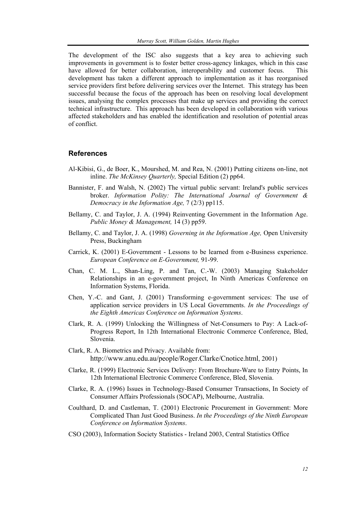The development of the ISC also suggests that a key area to achieving such improvements in government is to foster better cross-agency linkages, which in this case have allowed for better collaboration, interoperability and customer focus. This development has taken a different approach to implementation as it has reorganised service providers first before delivering services over the Internet. This strategy has been successful because the focus of the approach has been on resolving local development issues, analysing the complex processes that make up services and providing the correct technical infrastructure. This approach has been developed in collaboration with various affected stakeholders and has enabled the identification and resolution of potential areas of conflict.

#### **References**

- Al-Kibisi, G., de Boer, K., Mourshed, M. and Rea, N. (2001) Putting citizens on-line, not inline. *The McKinsey Quarterly,* Special Edition (2) pp64.
- Bannister, F. and Walsh, N. (2002) The virtual public servant: Ireland's public services broker. *Information Polity: The International Journal of Government & Democracy in the Information Age,* 7 (2/3) pp115.
- Bellamy, C. and Taylor, J. A. (1994) Reinventing Government in the Information Age. *Public Money & Management,* 14 (3) pp59.
- Bellamy, C. and Taylor, J. A. (1998) *Governing in the Information Age,* Open University Press, Buckingham
- Carrick, K. (2001) E-Government Lessons to be learned from e-Business experience. *European Conference on E-Government,* 91-99.
- Chan, C. M. L., Shan-Ling, P. and Tan, C.-W. (2003) Managing Stakeholder Relationships in an e-government project, In Ninth Americas Conference on Information Systems, Florida.
- Chen, Y.-C. and Gant, J. (2001) Transforming e-government services: The use of application service providers in US Local Governments. *In the Proceedings of the Eighth Americas Conference on Information Systems*.
- Clark, R. A. (1999) Unlocking the Willingness of Net-Consumers to Pay: A Lack-of-Progress Report, In 12th International Electronic Commerce Conference, Bled, Slovenia.
- Clark, R. A. Biometrics and Privacy. Available from: http://www.anu.edu.au/people/Roger.Clarke/Cnotice.html, 2001)
- Clarke, R. (1999) Electronic Services Delivery: From Brochure-Ware to Entry Points, In 12th International Electronic Commerce Conference, Bled, Slovenia.
- Clarke, R. A. (1996) Issues in Technology-Based Consumer Transactions, In Society of Consumer Affairs Professionals (SOCAP), Melbourne, Australia.
- Coulthard, D. and Castleman, T. (2001) Electronic Procurement in Government: More Complicated Than Just Good Business. *In the Proceedings of the Ninth European Conference on Information Systems*.
- CSO (2003), Information Society Statistics Ireland 2003, Central Statistics Office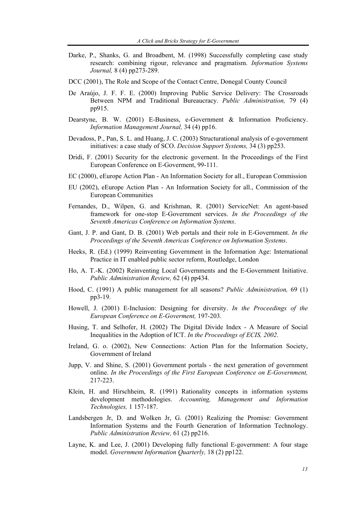- Darke, P., Shanks, G. and Broadbent, M. (1998) Successfully completing case study research: combining rigour, relevance and pragmatism. *Information Systems Journal,* 8 (4) pp273-289.
- DCC (2001), The Role and Scope of the Contact Centre, Donegal County Council
- De Araújo, J. F. F. E. (2000) Improving Public Service Delivery: The Crossroads Between NPM and Traditional Bureaucracy. *Public Administration,* 79 (4) pp915.
- Dearstyne, B. W. (2001) E-Business, e-Government & Information Proficiency. *Information Management Journal,* 34 (4) pp16.
- Devadoss, P., Pan, S. L. and Huang, J. C. (2003) Structurational analysis of e-government initiatives: a case study of SCO. *Decision Support Systems,* 34 (3) pp253.
- Dridi, F. (2001) Security for the electronic governent. In the Proceedings of the First European Conference on E-Goverment, 99-111.
- EC (2000), eEurope Action Plan An Information Society for all., European Commission
- EU (2002), eEurope Action Plan An Information Society for all., Commission of the European Communities
- Fernandes, D., Wilpen, G. and Krishman, R. (2001) ServiceNet: An agent-based framework for one-stop E-Government services. *In the Proceedings of the Seventh Americas Conference on Information Systems*.
- Gant, J. P. and Gant, D. B. (2001) Web portals and their role in E-Government. *In the Proceedings of the Seventh Americas Conference on Information Systems*.
- Heeks, R. (Ed.) (1999) Reinventing Government in the Information Age: International Practice in IT enabled public sector reform, Routledge, London
- Ho, A. T.-K. (2002) Reinventing Local Governments and the E-Government Initiative. *Public Administration Review,* 62 (4) pp434.
- Hood, C. (1991) A public management for all seasons? *Public Administration,* 69 (1) pp3-19.
- Howell, J. (2001) E-Inclusion: Designing for diversity. *In the Proceedings of the European Conference on E-Goverment,* 197-203.
- Husing, T. and Selhofer, H. (2002) The Digital Divide Index A Measure of Social Inequalities in the Adoption of ICT. *In the Proceedings of ECIS, 2002*.
- Ireland, G. o. (2002), New Connections: Action Plan for the Information Society, Government of Ireland
- Jupp, V. and Shine, S. (2001) Government portals the next generation of government online. *In the Proceedings of the First European Conference on E-Government,* 217-223.
- Klein, H. and Hirschheim, R. (1991) Rationality concepts in information systems development methodologies. *Accounting, Management and Information Technologies,* 1 157-187.
- Landsbergen Jr, D. and Wolken Jr, G. (2001) Realizing the Promise: Government Information Systems and the Fourth Generation of Information Technology. *Public Administration Review,* 61 (2) pp216.
- Layne, K. and Lee, J. (2001) Developing fully functional E-government: A four stage model. *Government Information Quarterly,* 18 (2) pp122.